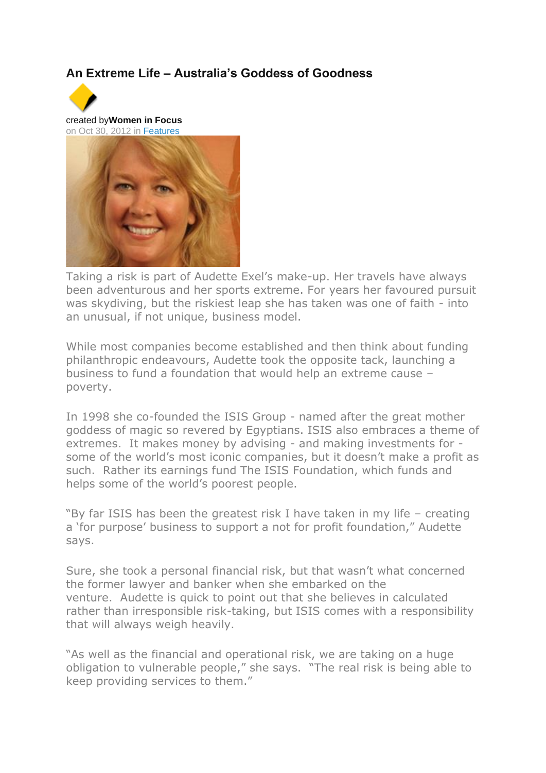## **An Extreme Life – Australia's Goddess of Goodness**



created by**Women in Focus** on Oct 30, 2012 in [Features](https://womeninfocus.jive-mobile.com/#jive-place-content?content=https%3A%2F%2Fwomeninfocus.jive-mobile.com%2Fapi%2Fcore%2Fv2%2Fspaces%2F2006)



Taking a risk is part of Audette Exel's make-up. Her travels have always been adventurous and her sports extreme. For years her favoured pursuit was skydiving, but the riskiest leap she has taken was one of faith - into an unusual, if not unique, business model.

While most companies become established and then think about funding philanthropic endeavours, Audette took the opposite tack, launching a business to fund a foundation that would help an extreme cause – poverty.

In 1998 she co-founded the ISIS Group - named after the great mother goddess of magic so revered by Egyptians. ISIS also embraces a theme of extremes. It makes money by advising - and making investments for some of the world's most iconic companies, but it doesn't make a profit as such. Rather its earnings fund The ISIS Foundation, which funds and helps some of the world's poorest people.

"By far ISIS has been the greatest risk I have taken in my life – creating a 'for purpose' business to support a not for profit foundation," Audette says.

Sure, she took a personal financial risk, but that wasn't what concerned the former lawyer and banker when she embarked on the venture. Audette is quick to point out that she believes in calculated rather than irresponsible risk-taking, but ISIS comes with a responsibility that will always weigh heavily.

"As well as the financial and operational risk, we are taking on a huge obligation to vulnerable people," she says. "The real risk is being able to keep providing services to them."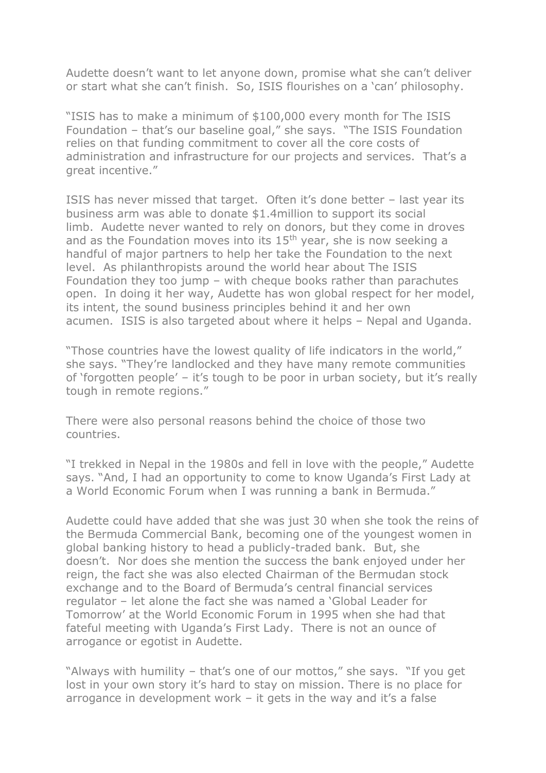Audette doesn't want to let anyone down, promise what she can't deliver or start what she can't finish. So, ISIS flourishes on a 'can' philosophy.

"ISIS has to make a minimum of \$100,000 every month for The ISIS Foundation – that's our baseline goal," she says. "The ISIS Foundation relies on that funding commitment to cover all the core costs of administration and infrastructure for our projects and services. That's a great incentive."

ISIS has never missed that target. Often it's done better – last year its business arm was able to donate \$1.4million to support its social limb. Audette never wanted to rely on donors, but they come in droves and as the Foundation moves into its  $15<sup>th</sup>$  year, she is now seeking a handful of major partners to help her take the Foundation to the next level. As philanthropists around the world hear about The ISIS Foundation they too jump – with cheque books rather than parachutes open. In doing it her way, Audette has won global respect for her model, its intent, the sound business principles behind it and her own acumen. ISIS is also targeted about where it helps – Nepal and Uganda.

"Those countries have the lowest quality of life indicators in the world," she says. "They're landlocked and they have many remote communities of 'forgotten people' – it's tough to be poor in urban society, but it's really tough in remote regions."

There were also personal reasons behind the choice of those two countries.

"I trekked in Nepal in the 1980s and fell in love with the people," Audette says. "And, I had an opportunity to come to know Uganda's First Lady at a World Economic Forum when I was running a bank in Bermuda."

Audette could have added that she was just 30 when she took the reins of the Bermuda Commercial Bank, becoming one of the youngest women in global banking history to head a publicly-traded bank. But, she doesn't. Nor does she mention the success the bank enjoyed under her reign, the fact she was also elected Chairman of the Bermudan stock exchange and to the Board of Bermuda's central financial services regulator – let alone the fact she was named a 'Global Leader for Tomorrow' at the World Economic Forum in 1995 when she had that fateful meeting with Uganda's First Lady. There is not an ounce of arrogance or egotist in Audette.

"Always with humility – that's one of our mottos," she says. "If you get lost in your own story it's hard to stay on mission. There is no place for arrogance in development work  $-$  it gets in the way and it's a false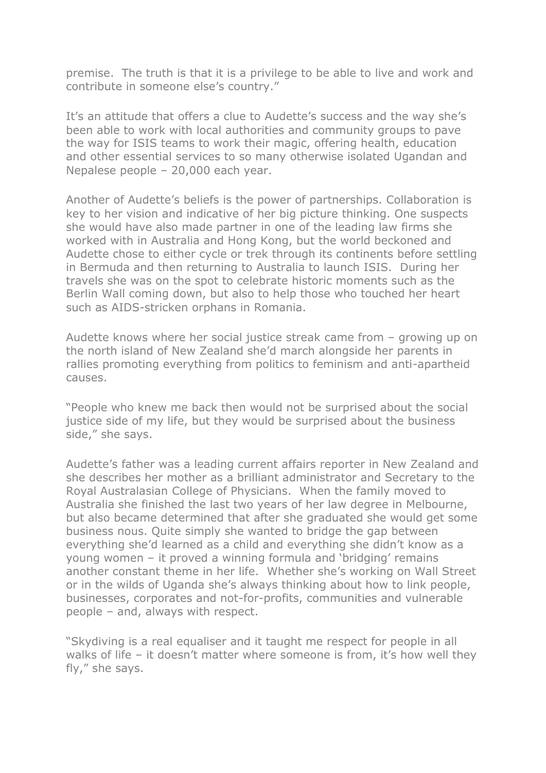premise. The truth is that it is a privilege to be able to live and work and contribute in someone else's country."

It's an attitude that offers a clue to Audette's success and the way she's been able to work with local authorities and community groups to pave the way for ISIS teams to work their magic, offering health, education and other essential services to so many otherwise isolated Ugandan and Nepalese people – 20,000 each year.

Another of Audette's beliefs is the power of partnerships. Collaboration is key to her vision and indicative of her big picture thinking. One suspects she would have also made partner in one of the leading law firms she worked with in Australia and Hong Kong, but the world beckoned and Audette chose to either cycle or trek through its continents before settling in Bermuda and then returning to Australia to launch ISIS. During her travels she was on the spot to celebrate historic moments such as the Berlin Wall coming down, but also to help those who touched her heart such as AIDS-stricken orphans in Romania.

Audette knows where her social justice streak came from – growing up on the north island of New Zealand she'd march alongside her parents in rallies promoting everything from politics to feminism and anti-apartheid causes.

"People who knew me back then would not be surprised about the social justice side of my life, but they would be surprised about the business side," she says.

Audette's father was a leading current affairs reporter in New Zealand and she describes her mother as a brilliant administrator and Secretary to the Royal Australasian College of Physicians. When the family moved to Australia she finished the last two years of her law degree in Melbourne, but also became determined that after she graduated she would get some business nous. Quite simply she wanted to bridge the gap between everything she'd learned as a child and everything she didn't know as a young women – it proved a winning formula and 'bridging' remains another constant theme in her life. Whether she's working on Wall Street or in the wilds of Uganda she's always thinking about how to link people, businesses, corporates and not-for-profits, communities and vulnerable people – and, always with respect.

"Skydiving is a real equaliser and it taught me respect for people in all walks of life – it doesn't matter where someone is from, it's how well they fly," she says.